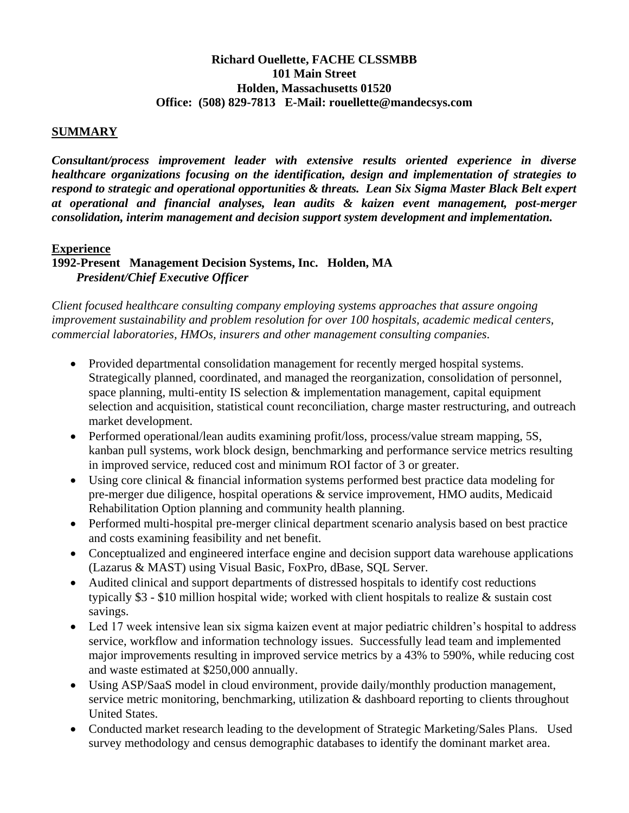# **Richard Ouellette, FACHE CLSSMBB 101 Main Street Holden, Massachusetts 01520 Office: (508) 829-7813 E-Mail: rouellette@mandecsys.com**

### **SUMMARY**

*Consultant/process improvement leader with extensive results oriented experience in diverse healthcare organizations focusing on the identification, design and implementation of strategies to respond to strategic and operational opportunities & threats. Lean Six Sigma Master Black Belt expert at operational and financial analyses, lean audits & kaizen event management, post-merger consolidation, interim management and decision support system development and implementation.* 

#### **Experience**

# **1992-Present Management Decision Systems, Inc. Holden, MA**  *President/Chief Executive Officer*

*Client focused healthcare consulting company employing systems approaches that assure ongoing improvement sustainability and problem resolution for over 100 hospitals, academic medical centers, commercial laboratories, HMOs, insurers and other management consulting companies.* 

- Provided departmental consolidation management for recently merged hospital systems. Strategically planned, coordinated, and managed the reorganization, consolidation of personnel, space planning, multi-entity IS selection & implementation management, capital equipment selection and acquisition, statistical count reconciliation, charge master restructuring, and outreach market development.
- Performed operational/lean audits examining profit/loss, process/value stream mapping, 5S, kanban pull systems, work block design, benchmarking and performance service metrics resulting in improved service, reduced cost and minimum ROI factor of 3 or greater.
- Using core clinical & financial information systems performed best practice data modeling for pre-merger due diligence, hospital operations & service improvement, HMO audits, Medicaid Rehabilitation Option planning and community health planning.
- Performed multi-hospital pre-merger clinical department scenario analysis based on best practice and costs examining feasibility and net benefit.
- Conceptualized and engineered interface engine and decision support data warehouse applications (Lazarus & MAST) using Visual Basic, FoxPro, dBase, SQL Server.
- Audited clinical and support departments of distressed hospitals to identify cost reductions typically \$3 - \$10 million hospital wide; worked with client hospitals to realize & sustain cost savings.
- Led 17 week intensive lean six sigma kaizen event at major pediatric children's hospital to address service, workflow and information technology issues. Successfully lead team and implemented major improvements resulting in improved service metrics by a 43% to 590%, while reducing cost and waste estimated at \$250,000 annually.
- Using ASP/SaaS model in cloud environment, provide daily/monthly production management, service metric monitoring, benchmarking, utilization & dashboard reporting to clients throughout United States.
- Conducted market research leading to the development of Strategic Marketing/Sales Plans. Used survey methodology and census demographic databases to identify the dominant market area.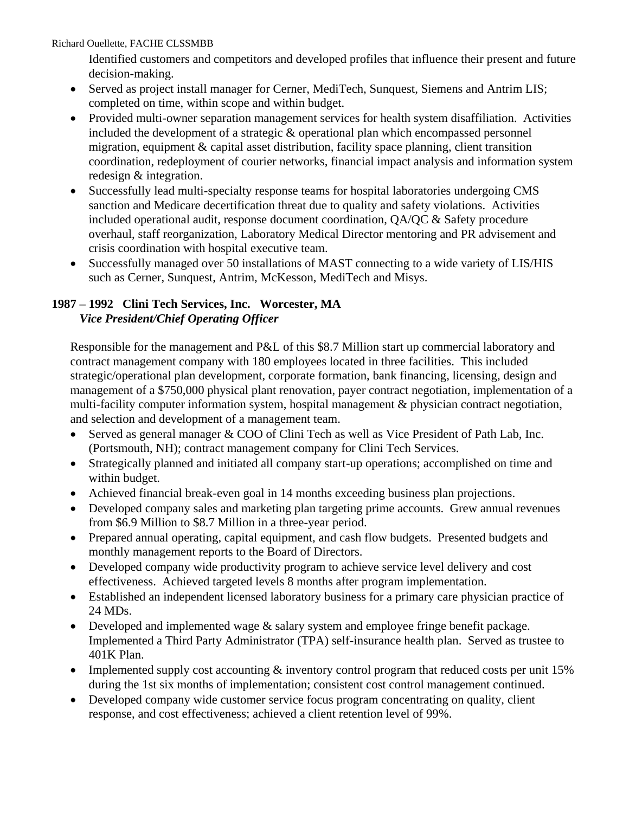Richard Ouellette, FACHE CLSSMBB

Identified customers and competitors and developed profiles that influence their present and future decision-making.

- Served as project install manager for Cerner, MediTech, Sunquest, Siemens and Antrim LIS; completed on time, within scope and within budget.
- Provided multi-owner separation management services for health system disaffiliation. Activities included the development of a strategic & operational plan which encompassed personnel migration, equipment & capital asset distribution, facility space planning, client transition coordination, redeployment of courier networks, financial impact analysis and information system redesign & integration.
- Successfully lead multi-specialty response teams for hospital laboratories undergoing CMS sanction and Medicare decertification threat due to quality and safety violations. Activities included operational audit, response document coordination, QA/QC & Safety procedure overhaul, staff reorganization, Laboratory Medical Director mentoring and PR advisement and crisis coordination with hospital executive team.
- Successfully managed over 50 installations of MAST connecting to a wide variety of LIS/HIS such as Cerner, Sunquest, Antrim, McKesson, MediTech and Misys.

# **1987 – 1992 Clini Tech Services, Inc. Worcester, MA**  *Vice President/Chief Operating Officer*

Responsible for the management and P&L of this \$8.7 Million start up commercial laboratory and contract management company with 180 employees located in three facilities. This included strategic/operational plan development, corporate formation, bank financing, licensing, design and management of a \$750,000 physical plant renovation, payer contract negotiation, implementation of a multi-facility computer information system, hospital management & physician contract negotiation, and selection and development of a management team.

- Served as general manager & COO of Clini Tech as well as Vice President of Path Lab, Inc. (Portsmouth, NH); contract management company for Clini Tech Services.
- Strategically planned and initiated all company start-up operations; accomplished on time and within budget.
- Achieved financial break-even goal in 14 months exceeding business plan projections.
- Developed company sales and marketing plan targeting prime accounts. Grew annual revenues from \$6.9 Million to \$8.7 Million in a three-year period.
- Prepared annual operating, capital equipment, and cash flow budgets. Presented budgets and monthly management reports to the Board of Directors.
- Developed company wide productivity program to achieve service level delivery and cost effectiveness. Achieved targeted levels 8 months after program implementation.
- Established an independent licensed laboratory business for a primary care physician practice of 24 MDs.
- Developed and implemented wage & salary system and employee fringe benefit package. Implemented a Third Party Administrator (TPA) self-insurance health plan. Served as trustee to 401K Plan.
- Implemented supply cost accounting & inventory control program that reduced costs per unit 15% during the 1st six months of implementation; consistent cost control management continued.
- Developed company wide customer service focus program concentrating on quality, client response, and cost effectiveness; achieved a client retention level of 99%.